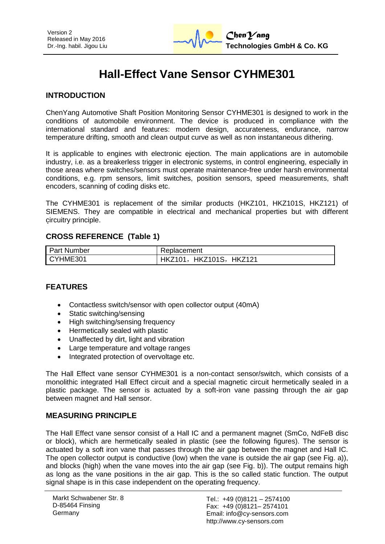# **Hall-Effect Vane Sensor CYHME301**

## **INTRODUCTION**

ChenYang Automotive Shaft Position Monitoring Sensor CYHME301 is designed to work in the conditions of automobile environment. The device is produced in compliance with the international standard and features: modern design, accurateness, endurance, narrow temperature drifting, smooth and clean output curve as well as non instantaneous dithering.

It is applicable to engines with electronic ejection. The main applications are in automobile industry, i.e. as a breakerless trigger in electronic systems, in control engineering, especially in those areas where switches/sensors must operate maintenance-free under harsh environmental conditions, e.g. rpm sensors, limit switches, position sensors, speed measurements, shaft encoders, scanning of coding disks etc.

The CYHME301 is replacement of the similar products (HKZ101, HKZ101S, HKZ121) of SIEMENS. They are compatible in electrical and mechanical properties but with different circuitry principle.

## **CROSS REFERENCE (Table 1)**

| <b>Part Number</b> | Replacement             |  |
|--------------------|-------------------------|--|
| CYHME301           | HKZ101, HKZ101S, HKZ121 |  |

## **FEATURES**

- Contactless switch/sensor with open collector output (40mA)
- Static switching/sensing
- High switching/sensing frequency
- Hermetically sealed with plastic
- Unaffected by dirt, light and vibration
- Large temperature and voltage ranges
- Integrated protection of overvoltage etc.

The Hall Effect vane sensor CYHME301 is a non-contact sensor/switch, which consists of a monolithic integrated Hall Effect circuit and a special magnetic circuit hermetically sealed in a plastic package. The sensor is actuated by a soft-iron vane passing through the air gap between magnet and Hall sensor.

## **MEASURING PRINCIPLE**

The Hall Effect vane sensor consist of a Hall IC and a permanent magnet (SmCo, NdFeB disc or block), which are hermetically sealed in plastic (see the following figures). The sensor is actuated by a soft iron vane that passes through the air gap between the magnet and Hall IC. The open collector output is conductive (low) when the vane is outside the air gap (see Fig. a)), and blocks (high) when the vane moves into the air gap (see Fig. b)). The output remains high as long as the vane positions in the air gap. This is the so called static function. The output signal shape is in this case independent on the operating frequency.

Tel.: +49 (0)8121 – 2574100 Fax: +49 (0)8121– 2574101 Email: info@cy-sensors.com http://www.cy-sensors.com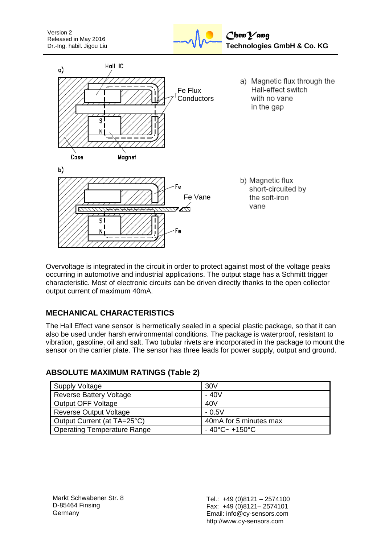



Overvoltage is integrated in the circuit in order to protect against most of the voltage peaks occurring in automotive and industrial applications. The output stage has a Schmitt trigger characteristic. Most of electronic circuits can be driven directly thanks to the open collector output current of maximum 40mA.

# **MECHANICAL CHARACTERISTICS**

The Hall Effect vane sensor is hermetically sealed in a special plastic package, so that it can also be used under harsh environmental conditions. The package is waterproof, resistant to vibration, gasoline, oil and salt. Two tubular rivets are incorporated in the package to mount the sensor on the carrier plate. The sensor has three leads for power supply, output and ground.

| Supply Voltage              | 30V                                      |
|-----------------------------|------------------------------------------|
| Reverse Battery Voltage     | $-40V$                                   |
| Output OFF Voltage          | 40 <sub>V</sub>                          |
| Reverse Output Voltage      | $-0.5V$                                  |
| Output Current (at TA=25°C) | 40mA for 5 minutes max                   |
| Operating Temperature Range | $-40^{\circ}$ C $\sim$ +150 $^{\circ}$ C |

## **ABSOLUTE MAXIMUM RATINGS (Table 2)**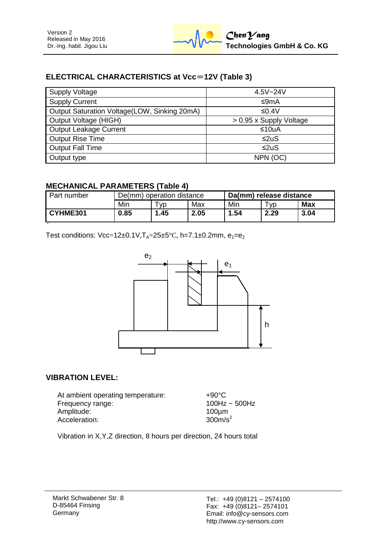# **ELECTRICAL CHARACTERISTICS at Vcc**=**12V (Table 3)**

| <b>Supply Voltage</b>                        | $4.5V - 24V$            |  |  |
|----------------------------------------------|-------------------------|--|--|
| <b>Supply Current</b>                        | ≤9mA                    |  |  |
| Output Saturation Voltage(LOW, Sinking 20mA) | ≤0.4V                   |  |  |
| Output Voltage (HIGH)                        | > 0.95 x Supply Voltage |  |  |
| Output Leakage Current                       | ≤10uA                   |  |  |
| <b>Output Rise Time</b>                      | $\leq$ 2uS              |  |  |
| <b>Output Fall Time</b>                      | ≤2uS                    |  |  |
| Output type                                  | NPN (OC)                |  |  |

## **MECHANICAL PARAMETERS (Table 4)**

| Part number | De(mm) operation distance |           |      | Da(mm) release distance |      |      |
|-------------|---------------------------|-----------|------|-------------------------|------|------|
|             | Min                       | <b>VD</b> | Max  | Min                     | W.   | Max  |
| CYHME301    | 0.85                      | .45       | 2.05 | 1.54                    | 2.29 | 3.04 |

Test conditions:  $Vec=12\pm0.1V$ ,  $T_A=25\pm5°C$ , h=7.1±0.2mm,  $e_1=e_2$ 



## **VIBRATION LEVEL:**

At ambient operating temperature: +90°C Frequency range: 100Hz ~ 500Hz Amplitude: 100µm<br>Acceleration: 100µm<br>300m/s<sup>2</sup> Acceleration:

Vibration in X,Y,Z direction, 8 hours per direction, 24 hours total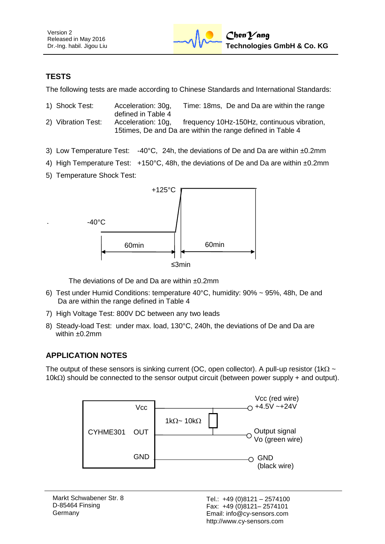# **TESTS**

The following tests are made according to Chinese Standards and International Standards:

- 1) Shock Test: Acceleration: 30g, Time: 18ms, De and Da are within the range defined in Table 4 2) Vibration Test: Acceleration: 10g, frequency 10Hz-150Hz, continuous vibration, 15times, De and Da are within the range defined in Table 4
- 3) Low Temperature Test:  $-40^{\circ}$ C, 24h, the deviations of De and Da are within  $\pm 0.2$ mm
- 4) High Temperature Test: +150°C, 48h, the deviations of De and Da are within ±0.2mm
- 5) Temperature Shock Test:



The deviations of De and Da are within ±0.2mm

- 6) Test under Humid Conditions: temperature 40°C, humidity: 90% ~ 95%, 48h, De and Da are within the range defined in Table 4
- 7) High Voltage Test: 800V DC between any two leads
- 8) Steady-load Test: under max. load, 130°C, 240h, the deviations of De and Da are within  $±0.2$ mm

## **APPLICATION NOTES**

The output of these sensors is sinking current (OC, open collector). A pull-up resistor (1k $\Omega \sim$  $10k\Omega$ ) should be connected to the sensor output circuit (between power supply + and output).